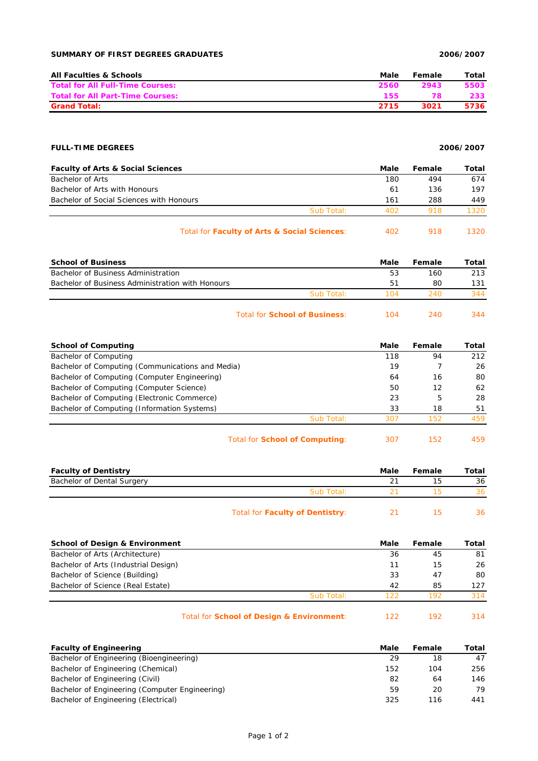## **SUMMARY OF FIRST DEGREES GRADUATES 2006/2007**

| <b>All Faculties &amp; Schools</b>      | Male | Female | Total |
|-----------------------------------------|------|--------|-------|
| <b>Total for All Full-Time Courses:</b> | 2560 | 2943   | 5503  |
| <b>Total for All Part-Time Courses:</b> | 155  | 78     | 233   |
| <b>Grand Total:</b>                     | 2715 | 3021   | 5736  |

## **FULL-TIME DEGREES 2006/2007**

| <b>Faculty of Arts &amp; Social Sciences</b> |                                              | Male | Female | Total |
|----------------------------------------------|----------------------------------------------|------|--------|-------|
| Bachelor of Arts                             |                                              | 180  | 494    | 674   |
| Bachelor of Arts with Honours                |                                              | 61   | 136    | 197   |
| Bachelor of Social Sciences with Honours     |                                              | 161  | 288    | 449   |
|                                              | Sub Total:                                   | 402  | 918    | 1320  |
|                                              | Total for Faculty of Arts & Social Sciences: | 402  | 918    | 1320. |

| <b>School of Business</b>                        |                                      | Male | Female | Total |
|--------------------------------------------------|--------------------------------------|------|--------|-------|
| Bachelor of Business Administration              |                                      | 53   | 160    | 213   |
| Bachelor of Business Administration with Honours |                                      | 51   | 80     | 131   |
|                                                  | Sub Total:                           | 104  | 240    | 344   |
|                                                  | Total for <b>School of Business:</b> | 104  | 240    | 344   |

| <b>School of Computing</b>                       |                                | Male | Female | Total |
|--------------------------------------------------|--------------------------------|------|--------|-------|
| Bachelor of Computing                            |                                | 118  | 94     | 212   |
| Bachelor of Computing (Communications and Media) |                                | 19   |        | 26    |
| Bachelor of Computing (Computer Engineering)     |                                | 64   | 16     | 80    |
| Bachelor of Computing (Computer Science)         |                                | 50   | 12     | 62    |
| Bachelor of Computing (Electronic Commerce)      |                                | 23   | 5      | 28    |
| Bachelor of Computing (Information Systems)      |                                | 33   | 18     | 51    |
|                                                  | Sub Total:                     | 307  | 152    | 459   |
|                                                  | Total for School of Computing: | 307  | 152    | 459   |

| <b>Faculty of Dentistry</b> |                                 | Male | Female | Total |
|-----------------------------|---------------------------------|------|--------|-------|
| Bachelor of Dental Surgery  |                                 |      |        | 36    |
|                             | Sub Total:                      |      |        | 36    |
|                             | Total for Faculty of Dentistry: |      |        | 36    |

| <b>School of Design &amp; Environment</b> |                                           | Male | Female | Total |
|-------------------------------------------|-------------------------------------------|------|--------|-------|
| Bachelor of Arts (Architecture)           |                                           | 36   | 45     | 81    |
| Bachelor of Arts (Industrial Design)      |                                           | 11   | 15     | 26    |
| Bachelor of Science (Building)            |                                           | 33   | 47     | 80    |
| Bachelor of Science (Real Estate)         |                                           | 42   | 85     | 127   |
|                                           | Sub Total:                                | 122  | 192    | 314   |
|                                           | Total for School of Design & Environment: | 122  | 192    | 314   |

| <b>Faculty of Engineering</b>                  | Male | Female | Total |
|------------------------------------------------|------|--------|-------|
| Bachelor of Engineering (Bioengineering)       | 29   | 18     | 47    |
| Bachelor of Engineering (Chemical)             | 152  | 104    | 256   |
| Bachelor of Engineering (Civil)                | 82   | 64     | 146   |
| Bachelor of Engineering (Computer Engineering) | 59   | 20     | 79    |
| Bachelor of Engineering (Electrical)           | 325  | 116    | 441   |